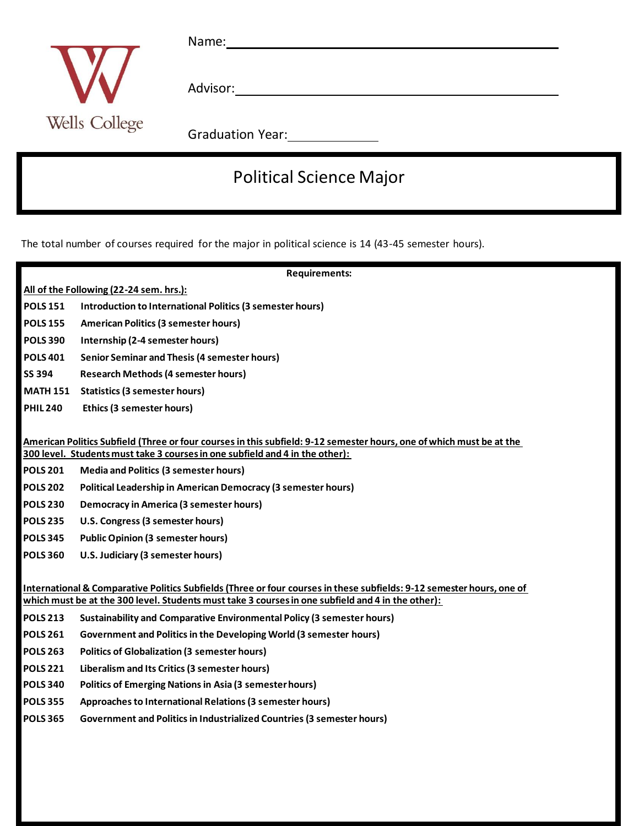

Name: Name and All and All and All and All and All and All and All and All and All and All and All and All and All and All and All and All and All and All and All and All and All and All and All and All and All and All and

Advisor:

Graduation Year: 2008

## Political Science Major

The total number of courses required for the major in political science is 14 (43-45 semester hours).

| <b>Requirements:</b>                                                                                                  |                                                                               |
|-----------------------------------------------------------------------------------------------------------------------|-------------------------------------------------------------------------------|
| All of the Following (22-24 sem. hrs.):                                                                               |                                                                               |
| <b>POLS 151</b>                                                                                                       | Introduction to International Politics (3 semester hours)                     |
| <b>POLS 155</b>                                                                                                       | <b>American Politics (3 semester hours)</b>                                   |
| <b>POLS 390</b>                                                                                                       | Internship (2-4 semester hours)                                               |
| <b>POLS 401</b>                                                                                                       | <b>Senior Seminar and Thesis (4 semester hours)</b>                           |
| <b>SS 394</b>                                                                                                         | <b>Research Methods (4 semester hours)</b>                                    |
| <b>MATH 151</b>                                                                                                       | <b>Statistics (3 semester hours)</b>                                          |
| <b>PHIL 240</b>                                                                                                       | Ethics (3 semester hours)                                                     |
|                                                                                                                       |                                                                               |
| American Politics Subfield (Three or four courses in this subfield: 9-12 semester hours, one of which must be at the  |                                                                               |
| 300 level. Students must take 3 courses in one subfield and 4 in the other):                                          |                                                                               |
| <b>POLS 201</b>                                                                                                       | <b>Media and Politics (3 semester hours)</b>                                  |
| <b>POLS 202</b>                                                                                                       | <b>Political Leadership in American Democracy (3 semester hours)</b>          |
| <b>POLS 230</b>                                                                                                       | <b>Democracy in America (3 semester hours)</b>                                |
| <b>POLS 235</b>                                                                                                       | U.S. Congress (3 semester hours)                                              |
| <b>POLS 345</b>                                                                                                       | <b>Public Opinion (3 semester hours)</b>                                      |
| <b>POLS 360</b>                                                                                                       | U.S. Judiciary (3 semester hours)                                             |
|                                                                                                                       |                                                                               |
| International & Comparative Politics Subfields (Three or four courses in these subfields: 9-12 semester hours, one of |                                                                               |
| which must be at the 300 level. Students must take 3 courses in one subfield and 4 in the other):                     |                                                                               |
| <b>POLS 213</b>                                                                                                       | <b>Sustainability and Comparative Environmental Policy (3 semester hours)</b> |
| <b>POLS 261</b>                                                                                                       | Government and Politics in the Developing World (3 semester hours)            |
| <b>POLS 263</b>                                                                                                       | <b>Politics of Globalization (3 semester hours)</b>                           |
| <b>POLS 221</b>                                                                                                       | Liberalism and Its Critics (3 semester hours)                                 |
| <b>POLS 340</b>                                                                                                       | <b>Politics of Emerging Nations in Asia (3 semester hours)</b>                |
| <b>POLS 355</b>                                                                                                       | Approaches to International Relations (3 semester hours)                      |
| <b>POLS 365</b>                                                                                                       | Government and Politics in Industrialized Countries (3 semester hours)        |
|                                                                                                                       |                                                                               |